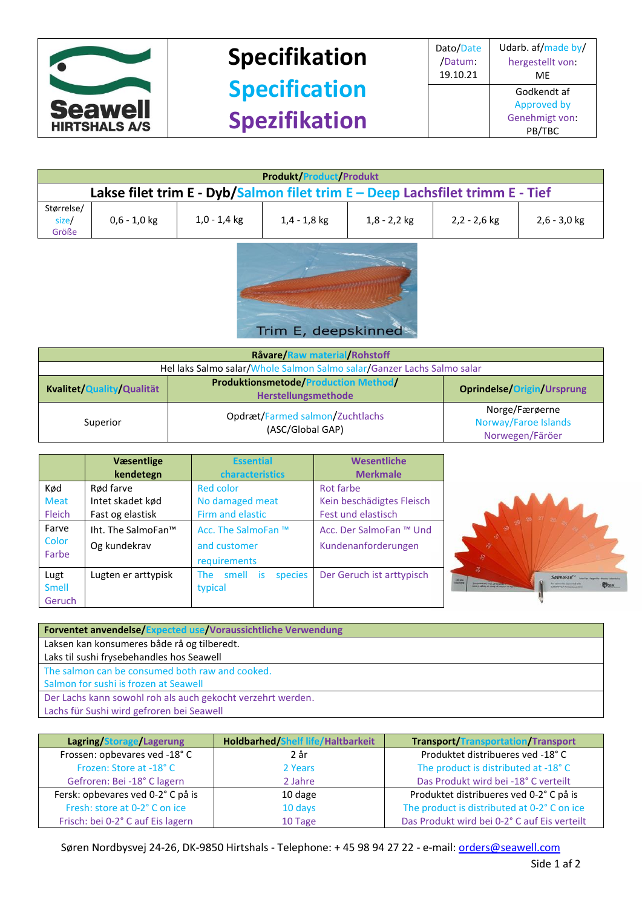

## **Specifikation Specification Spezifikation**

| <b>Produkt/Product/Produkt</b>                                                |                |                |                |                |                |                |
|-------------------------------------------------------------------------------|----------------|----------------|----------------|----------------|----------------|----------------|
| Lakse filet trim E - Dyb/Salmon filet trim E - Deep Lachsfilet trimm E - Tief |                |                |                |                |                |                |
| Størrelse/<br>size/<br>Größe                                                  | $0,6 - 1,0$ kg | $1,0 - 1,4$ kg | $1,4 - 1,8$ kg | $1,8 - 2,2$ kg | $2,2 - 2,6$ kg | $2,6 - 3,0$ kg |



| Råvare/Raw material/Rohstoff                                           |                                                                    |                                                           |  |
|------------------------------------------------------------------------|--------------------------------------------------------------------|-----------------------------------------------------------|--|
| Hel laks Salmo salar/Whole Salmon Salmo salar/Ganzer Lachs Salmo salar |                                                                    |                                                           |  |
| Kvalitet/Quality/Qualität                                              | <b>Produktionsmetode/Production Method/</b><br>Herstellungsmethode | <b>Oprindelse/Origin/Ursprung</b>                         |  |
| Superior                                                               | Opdræt/Farmed salmon/Zuchtlachs<br>(ASC/Global GAP)                | Norge/Færøerne<br>Norway/Faroe Islands<br>Norwegen/Färöer |  |

|               | <b>V</b> æsentlige<br>kendetegn | <b>Essential</b><br>characteristics | Wesentliche<br><b>Merkmale</b> |  |
|---------------|---------------------------------|-------------------------------------|--------------------------------|--|
| Kød           | Rød farve                       | <b>Red color</b>                    | Rot farbe                      |  |
| <b>Meat</b>   | Intet skadet kød                | No damaged meat                     | Kein beschädigtes Fleisch      |  |
| <b>Fleich</b> | Fast og elastisk                | Firm and elastic                    | Fest und elastisch             |  |
| Farve         | Iht. The SalmoFan™              | Acc. The SalmoFan ™                 | Acc. Der SalmoFan ™ Und        |  |
| Color         | Og kundekrav                    | and customer                        | Kundenanforderungen            |  |
| Farbe         |                                 | requirements                        |                                |  |
| Lugt          | Lugten er arttypisk             | smell is<br>species<br>The          | Der Geruch ist arttypisch      |  |
| <b>Smell</b>  |                                 | typical                             |                                |  |
| Geruch        |                                 |                                     |                                |  |



| <b>Forventet anvendelse/Expected use/Voraussichtliche Verwendung</b> |  |  |
|----------------------------------------------------------------------|--|--|
| Laksen kan konsumeres både rå og tilberedt.                          |  |  |
| Laks til sushi frysebehandles hos Seawell                            |  |  |
| The salmon can be consumed both raw and cooked.                      |  |  |
| Salmon for sushi is frozen at Seawell                                |  |  |
| Der Lachs kann sowohl roh als auch gekocht verzehrt werden.          |  |  |
| Lachs für Sushi wird gefroren bei Seawell                            |  |  |

| Lagring/Storage/Lagerung          | <b>Holdbarhed/Shelf life/Haltbarkeit</b> | <b>Transport/Transportation/Transport</b>    |
|-----------------------------------|------------------------------------------|----------------------------------------------|
| Frossen: opbevares ved -18°C      | 2 år                                     | Produktet distribueres ved -18°C             |
| Frozen: Store at -18°C            | 2 Years                                  | The product is distributed at -18°C          |
| Gefroren: Bei -18° C lagern       | 2 Jahre                                  | Das Produkt wird bei -18° C verteilt         |
| Fersk: opbevares ved 0-2° C på is | 10 dage                                  | Produktet distribueres ved 0-2°C på is       |
| Fresh: store at 0-2° C on ice     | 10 days                                  | The product is distributed at 0-2° C on ice  |
| Frisch: bei 0-2° C auf Eis lagern | 10 Tage                                  | Das Produkt wird bei 0-2° C auf Eis verteilt |

Søren Nordbysvej 24-26, DK-9850 Hirtshals - Telephone: + 45 98 94 27 22 - e-mail[: orders@seawell.com](mailto:orders@seawell.com)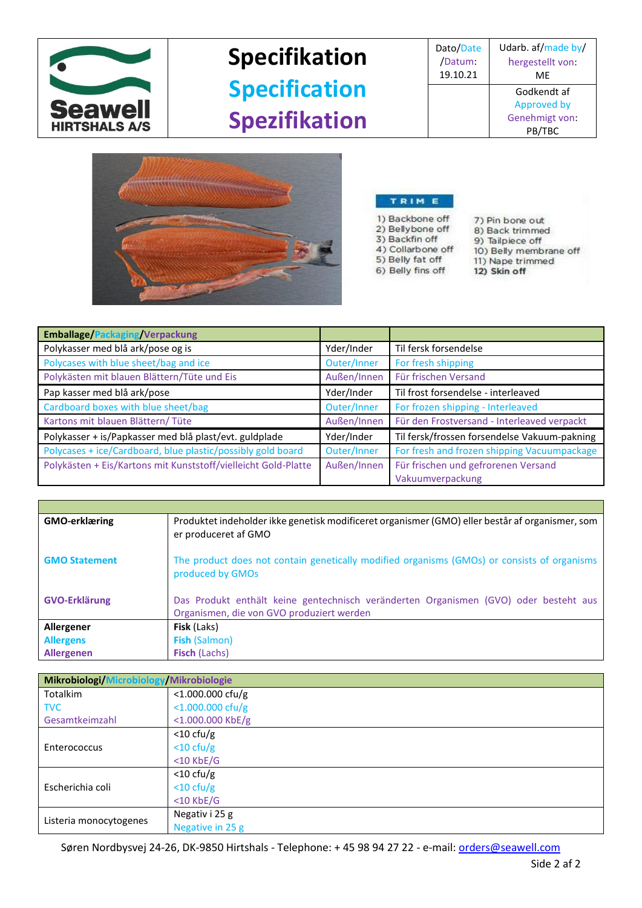

## **Specifikation Specification Spezifikation**

| Dato/Date | Udarb. af/made by/ |
|-----------|--------------------|
| /Datum:   | hergestellt von:   |
| 19.10.21  | MF                 |
|           | Godkendt af        |
|           | Approved by        |
|           | Genehmigt von:     |
|           | ΓВC                |



## TRIM E

1) Backbone off<br>2) Bellybone off 3) Backfin off 4) Collarbone off

5) Belly fat off

6) Belly fins off

- 7) Pin bone out 8) Back trimmed 9) Tailpiece off
- 10) Belly membrane off 11) Nape trimmed
- 12) Skin off

| <b>Emballage/Packaging/Verpackung</b>                          |             |                                              |
|----------------------------------------------------------------|-------------|----------------------------------------------|
| Polykasser med blå ark/pose og is                              | Yder/Inder  | Til fersk forsendelse                        |
| Polycases with blue sheet/bag and ice                          | Outer/Inner | For fresh shipping                           |
| Polykästen mit blauen Blättern/Tüte und Eis                    | Außen/Innen | Für frischen Versand                         |
| Pap kasser med blå ark/pose                                    | Yder/Inder  | Til frost forsendelse - interleaved          |
| Cardboard boxes with blue sheet/bag                            | Outer/Inner | For frozen shipping - Interleaved            |
| Kartons mit blauen Blättern/Tüte                               | Außen/Innen | Für den Frostversand - Interleaved verpackt  |
| Polykasser + is/Papkasser med blå plast/evt. guldplade         | Yder/Inder  | Til fersk/frossen forsendelse Vakuum-pakning |
| Polycases + ice/Cardboard, blue plastic/possibly gold board    | Outer/Inner | For fresh and frozen shipping Vacuumpackage  |
| Polykästen + Eis/Kartons mit Kunststoff/vielleicht Gold-Platte | Außen/Innen | Für frischen und gefrorenen Versand          |
|                                                                |             | Vakuumverpackung                             |

| <b>GMO-erklæring</b> | Produktet indeholder ikke genetisk modificeret organismer (GMO) eller består af organismer, som<br>er produceret af GMO           |
|----------------------|-----------------------------------------------------------------------------------------------------------------------------------|
| <b>GMO Statement</b> | The product does not contain genetically modified organisms (GMOs) or consists of organisms<br>produced by GMOs                   |
| <b>GVO-Erklärung</b> | Das Produkt enthält keine gentechnisch veränderten Organismen (GVO) oder besteht aus<br>Organismen, die von GVO produziert werden |
| Allergener           | <b>Fisk</b> (Laks)                                                                                                                |
| <b>Allergens</b>     | <b>Fish (Salmon)</b>                                                                                                              |
| <b>Allergenen</b>    | <b>Fisch (Lachs)</b>                                                                                                              |

| Mikrobiologi/Microbiology/Mikrobiologie |                     |  |
|-----------------------------------------|---------------------|--|
| <b>Totalkim</b>                         | $<$ 1.000.000 cfu/g |  |
| <b>TVC</b>                              | $<$ 1.000.000 cfu/g |  |
| Gesamtkeimzahl                          | $<$ 1.000.000 KbE/g |  |
|                                         | $<$ 10 cfu/g        |  |
| Enterococcus                            | $<$ 10 cfu/g        |  |
|                                         | $<$ 10 KbE/G        |  |
|                                         | $<$ 10 cfu/g        |  |
| Escherichia coli                        | $<$ 10 cfu/g        |  |
|                                         | $<$ 10 KbE/G        |  |
|                                         | Negativ i 25 g      |  |
| Listeria monocytogenes                  | Negative in 25 g    |  |

Søren Nordbysvej 24-26, DK-9850 Hirtshals - Telephone: + 45 98 94 27 22 - e-mail[: orders@seawell.com](mailto:orders@seawell.com)